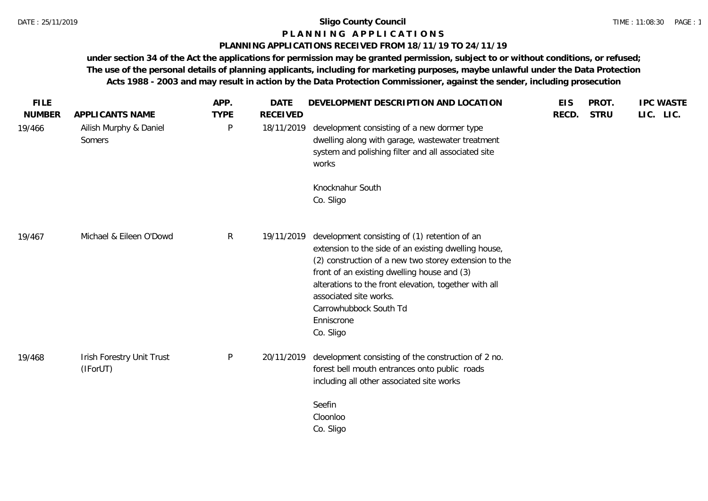# **P L A N N I N G A P P L I C A T I O N S**

# **PLANNING APPLICATIONS RECEIVED FROM 18/11/19 TO 24/11/19**

| <b>FILE</b><br><b>NUMBER</b> | APPLICANTS NAME                       | APP.<br><b>TYPE</b> | <b>DATE</b><br><b>RECEIVED</b> | DEVELOPMENT DESCRIPTION AND LOCATION                                                                                                                                                                                                                                                                                                                  | <b>EIS</b><br>RECD. | PROT.<br><b>STRU</b> | <b>IPC WASTE</b><br>LIC. LIC. |
|------------------------------|---------------------------------------|---------------------|--------------------------------|-------------------------------------------------------------------------------------------------------------------------------------------------------------------------------------------------------------------------------------------------------------------------------------------------------------------------------------------------------|---------------------|----------------------|-------------------------------|
| 19/466                       | Ailish Murphy & Daniel<br>Somers      | P                   | 18/11/2019                     | development consisting of a new dormer type<br>dwelling along with garage, wastewater treatment<br>system and polishing filter and all associated site<br>works                                                                                                                                                                                       |                     |                      |                               |
|                              |                                       |                     |                                | Knocknahur South<br>Co. Sligo                                                                                                                                                                                                                                                                                                                         |                     |                      |                               |
| 19/467                       | Michael & Eileen O'Dowd               | $\mathsf{R}$        | 19/11/2019                     | development consisting of (1) retention of an<br>extension to the side of an existing dwelling house,<br>(2) construction of a new two storey extension to the<br>front of an existing dwelling house and (3)<br>alterations to the front elevation, together with all<br>associated site works.<br>Carrowhubbock South Td<br>Enniscrone<br>Co. Sligo |                     |                      |                               |
| 19/468                       | Irish Forestry Unit Trust<br>(IForUT) | $\mathsf{P}$        | 20/11/2019                     | development consisting of the construction of 2 no.<br>forest bell mouth entrances onto public roads<br>including all other associated site works                                                                                                                                                                                                     |                     |                      |                               |
|                              |                                       |                     |                                | Seefin<br>Cloonloo<br>Co. Sligo                                                                                                                                                                                                                                                                                                                       |                     |                      |                               |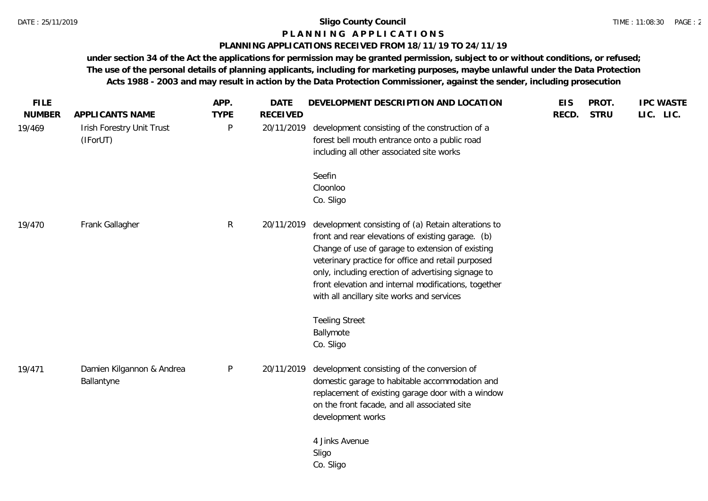## **P L A N N I N G A P P L I C A T I O N S**

# **PLANNING APPLICATIONS RECEIVED FROM 18/11/19 TO 24/11/19**

| <b>FILE</b><br><b>NUMBER</b> | APPLICANTS NAME                         | APP.<br><b>TYPE</b> | <b>DATE</b><br><b>RECEIVED</b> | DEVELOPMENT DESCRIPTION AND LOCATION                                                                                                                                                                                                                                                                                                                                           | <b>EIS</b><br>RECD. | PROT.<br><b>STRU</b> | <b>IPC WASTE</b><br>LIC. LIC. |
|------------------------------|-----------------------------------------|---------------------|--------------------------------|--------------------------------------------------------------------------------------------------------------------------------------------------------------------------------------------------------------------------------------------------------------------------------------------------------------------------------------------------------------------------------|---------------------|----------------------|-------------------------------|
| 19/469                       | Irish Forestry Unit Trust<br>(IForUT)   | P                   | 20/11/2019                     | development consisting of the construction of a<br>forest bell mouth entrance onto a public road<br>including all other associated site works                                                                                                                                                                                                                                  |                     |                      |                               |
|                              |                                         |                     |                                | Seefin<br>Cloonloo<br>Co. Sligo                                                                                                                                                                                                                                                                                                                                                |                     |                      |                               |
| 19/470                       | Frank Gallagher                         | $\mathsf{R}$        | 20/11/2019                     | development consisting of (a) Retain alterations to<br>front and rear elevations of existing garage. (b)<br>Change of use of garage to extension of existing<br>veterinary practice for office and retail purposed<br>only, including erection of advertising signage to<br>front elevation and internal modifications, together<br>with all ancillary site works and services |                     |                      |                               |
|                              |                                         |                     |                                | <b>Teeling Street</b><br>Ballymote<br>Co. Sligo                                                                                                                                                                                                                                                                                                                                |                     |                      |                               |
| 19/471                       | Damien Kilgannon & Andrea<br>Ballantyne | P                   | 20/11/2019                     | development consisting of the conversion of<br>domestic garage to habitable accommodation and<br>replacement of existing garage door with a window<br>on the front facade, and all associated site<br>development works                                                                                                                                                        |                     |                      |                               |
|                              |                                         |                     |                                | 4 Jinks Avenue<br>Sligo<br>Co. Sligo                                                                                                                                                                                                                                                                                                                                           |                     |                      |                               |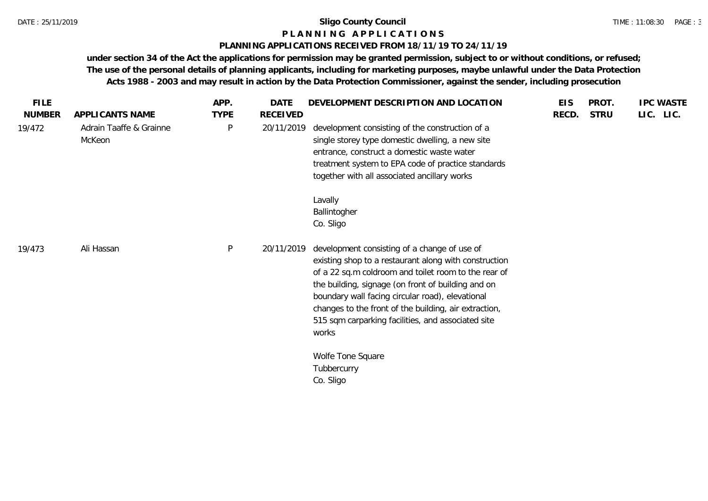# **P L A N N I N G A P P L I C A T I O N S**

# **PLANNING APPLICATIONS RECEIVED FROM 18/11/19 TO 24/11/19**

| <b>FILE</b>   |                                   | APP.         | <b>DATE</b> | DEVELOPMENT DESCRIPTION AND LOCATION                                                                                                                                                                                                                                                                                                                                                            | <b>EIS</b> | PROT.       | <b>IPC WASTE</b> |
|---------------|-----------------------------------|--------------|-------------|-------------------------------------------------------------------------------------------------------------------------------------------------------------------------------------------------------------------------------------------------------------------------------------------------------------------------------------------------------------------------------------------------|------------|-------------|------------------|
| <b>NUMBER</b> | APPLICANTS NAME                   | <b>TYPE</b>  | RECEIVED    |                                                                                                                                                                                                                                                                                                                                                                                                 | RECD.      | <b>STRU</b> | LIC. LIC.        |
| 19/472        | Adrain Taaffe & Grainne<br>McKeon | $\mathsf{P}$ | 20/11/2019  | development consisting of the construction of a<br>single storey type domestic dwelling, a new site<br>entrance, construct a domestic waste water<br>treatment system to EPA code of practice standards<br>together with all associated ancillary works                                                                                                                                         |            |             |                  |
|               |                                   |              |             | Lavally<br>Ballintogher<br>Co. Sligo                                                                                                                                                                                                                                                                                                                                                            |            |             |                  |
| 19/473        | Ali Hassan                        | P            | 20/11/2019  | development consisting of a change of use of<br>existing shop to a restaurant along with construction<br>of a 22 sq.m coldroom and toilet room to the rear of<br>the building, signage (on front of building and on<br>boundary wall facing circular road), elevational<br>changes to the front of the building, air extraction,<br>515 sqm carparking facilities, and associated site<br>works |            |             |                  |
|               |                                   |              |             | Wolfe Tone Square<br>Tubbercurry<br>Co. Sligo                                                                                                                                                                                                                                                                                                                                                   |            |             |                  |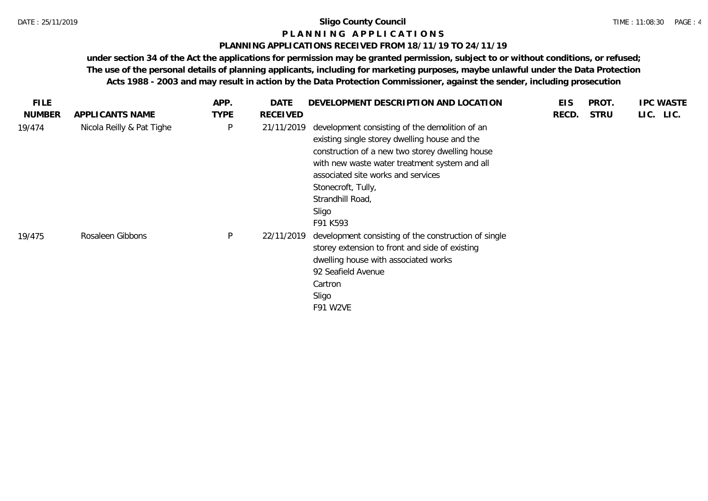### **P L A N N I N G A P P L I C A T I O N S**

# **PLANNING APPLICATIONS RECEIVED FROM 18/11/19 TO 24/11/19**

| <b>FILE</b>   |                           | APP.        | DATE            | DEVELOPMENT DESCRIPTION AND LOCATION                                                                                                                                                                                                                                                                     | <b>EIS</b> | PROT.       | <b>IPC WASTE</b> |
|---------------|---------------------------|-------------|-----------------|----------------------------------------------------------------------------------------------------------------------------------------------------------------------------------------------------------------------------------------------------------------------------------------------------------|------------|-------------|------------------|
| <b>NUMBER</b> | APPLICANTS NAME           | <b>TYPE</b> | <b>RECEIVED</b> |                                                                                                                                                                                                                                                                                                          | RECD.      | <b>STRU</b> | LIC. LIC.        |
| 19/474        | Nicola Reilly & Pat Tighe | P           | 21/11/2019      | development consisting of the demolition of an<br>existing single storey dwelling house and the<br>construction of a new two storey dwelling house<br>with new waste water treatment system and all<br>associated site works and services<br>Stonecroft, Tully,<br>Strandhill Road,<br>Sligo<br>F91 K593 |            |             |                  |
| 19/475        | Rosaleen Gibbons          | P           | 22/11/2019      | development consisting of the construction of single<br>storey extension to front and side of existing<br>dwelling house with associated works<br>92 Seafield Avenue<br>Cartron<br>Sligo<br>F91 W2VE                                                                                                     |            |             |                  |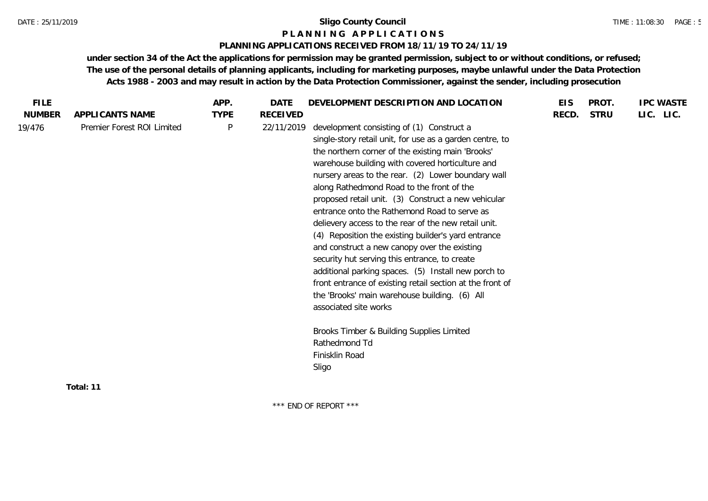# **P L A N N I N G A P P L I C A T I O N S**

# **PLANNING APPLICATIONS RECEIVED FROM 18/11/19 TO 24/11/19**

**under section 34 of the Act the applications for permission may be granted permission, subject to or without conditions, or refused; The use of the personal details of planning applicants, including for marketing purposes, maybe unlawful under the Data Protection Acts 1988 - 2003 and may result in action by the Data Protection Commissioner, against the sender, including prosecution**

| <b>FILE</b>   |                            | APP.         | <b>DATE</b> | DEVELOPMENT DESCRIPTION AND LOCATION                                                                                                                                                                                                                                                                                                                                                                                                                                                                                                                                                                                                                                                                                                                                                                                                                                                                                            | <b>EIS</b> | PROT.       | <b>IPC WASTE</b> |
|---------------|----------------------------|--------------|-------------|---------------------------------------------------------------------------------------------------------------------------------------------------------------------------------------------------------------------------------------------------------------------------------------------------------------------------------------------------------------------------------------------------------------------------------------------------------------------------------------------------------------------------------------------------------------------------------------------------------------------------------------------------------------------------------------------------------------------------------------------------------------------------------------------------------------------------------------------------------------------------------------------------------------------------------|------------|-------------|------------------|
| <b>NUMBER</b> | APPLICANTS NAME            | <b>TYPE</b>  | RECEIVED    |                                                                                                                                                                                                                                                                                                                                                                                                                                                                                                                                                                                                                                                                                                                                                                                                                                                                                                                                 | RECD.      | <b>STRU</b> | LIC. LIC.        |
| 19/476        | Premier Forest ROI Limited | $\mathsf{P}$ | 22/11/2019  | development consisting of (1) Construct a<br>single-story retail unit, for use as a garden centre, to<br>the northern corner of the existing main 'Brooks'<br>warehouse building with covered horticulture and<br>nursery areas to the rear. (2) Lower boundary wall<br>along Rathedmond Road to the front of the<br>proposed retail unit. (3) Construct a new vehicular<br>entrance onto the Rathemond Road to serve as<br>delievery access to the rear of the new retail unit.<br>(4) Reposition the existing builder's yard entrance<br>and construct a new canopy over the existing<br>security hut serving this entrance, to create<br>additional parking spaces. (5) Install new porch to<br>front entrance of existing retail section at the front of<br>the 'Brooks' main warehouse building. (6) All<br>associated site works<br>Brooks Timber & Building Supplies Limited<br>Rathedmond Td<br>Finisklin Road<br>Sligo |            |             |                  |
|               |                            |              |             |                                                                                                                                                                                                                                                                                                                                                                                                                                                                                                                                                                                                                                                                                                                                                                                                                                                                                                                                 |            |             |                  |
|               | Total: 11                  |              |             |                                                                                                                                                                                                                                                                                                                                                                                                                                                                                                                                                                                                                                                                                                                                                                                                                                                                                                                                 |            |             |                  |

\*\*\* END OF REPORT \*\*\*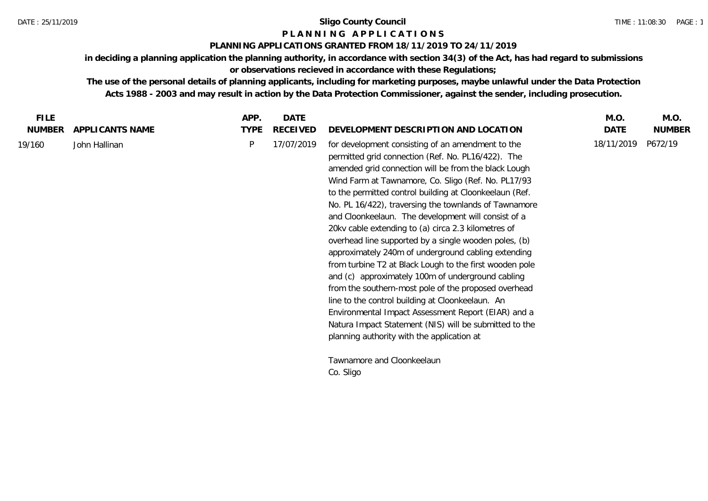# **P L A N N I N G A P P L I C A T I O N S**

# **PLANNING APPLICATIONS GRANTED FROM 18/11/2019 TO 24/11/2019**

**in deciding a planning application the planning authority, in accordance with section 34(3) of the Act, has had regard to submissions or observations recieved in accordance with these Regulations;**

**The use of the personal details of planning applicants, including for marketing purposes, maybe unlawful under the Data Protection Acts 1988 - 2003 and may result in action by the Data Protection Commissioner, against the sender, including prosecution.**

| <b>FILE</b>   |                 | APP.        | <b>DATE</b>     |                                                                                                                                                                                                                                                                                                                                                                                                                                                                                                                                                                                                                                                                                                                                                                                                                                                                                                                                                                     | M.O.       | M.O.          |
|---------------|-----------------|-------------|-----------------|---------------------------------------------------------------------------------------------------------------------------------------------------------------------------------------------------------------------------------------------------------------------------------------------------------------------------------------------------------------------------------------------------------------------------------------------------------------------------------------------------------------------------------------------------------------------------------------------------------------------------------------------------------------------------------------------------------------------------------------------------------------------------------------------------------------------------------------------------------------------------------------------------------------------------------------------------------------------|------------|---------------|
| <b>NUMBER</b> | APPLICANTS NAME | <b>TYPE</b> | <b>RECEIVED</b> | DEVELOPMENT DESCRIPTION AND LOCATION                                                                                                                                                                                                                                                                                                                                                                                                                                                                                                                                                                                                                                                                                                                                                                                                                                                                                                                                | DATE       | <b>NUMBER</b> |
| 19/160        | John Hallinan   | P           | 17/07/2019      | for development consisting of an amendment to the<br>permitted grid connection (Ref. No. PL16/422). The<br>amended grid connection will be from the black Lough<br>Wind Farm at Tawnamore, Co. Sligo (Ref. No. PL17/93<br>to the permitted control building at Cloonkeelaun (Ref.<br>No. PL 16/422), traversing the townlands of Tawnamore<br>and Cloonkeelaun. The development will consist of a<br>20kv cable extending to (a) circa 2.3 kilometres of<br>overhead line supported by a single wooden poles, (b)<br>approximately 240m of underground cabling extending<br>from turbine T2 at Black Lough to the first wooden pole<br>and (c) approximately 100m of underground cabling<br>from the southern-most pole of the proposed overhead<br>line to the control building at Cloonkeelaun. An<br>Environmental Impact Assessment Report (EIAR) and a<br>Natura Impact Statement (NIS) will be submitted to the<br>planning authority with the application at | 18/11/2019 | P672/19       |
|               |                 |             |                 | Tawnamore and Cloonkeelaun                                                                                                                                                                                                                                                                                                                                                                                                                                                                                                                                                                                                                                                                                                                                                                                                                                                                                                                                          |            |               |
|               |                 |             |                 | Co. Sligo                                                                                                                                                                                                                                                                                                                                                                                                                                                                                                                                                                                                                                                                                                                                                                                                                                                                                                                                                           |            |               |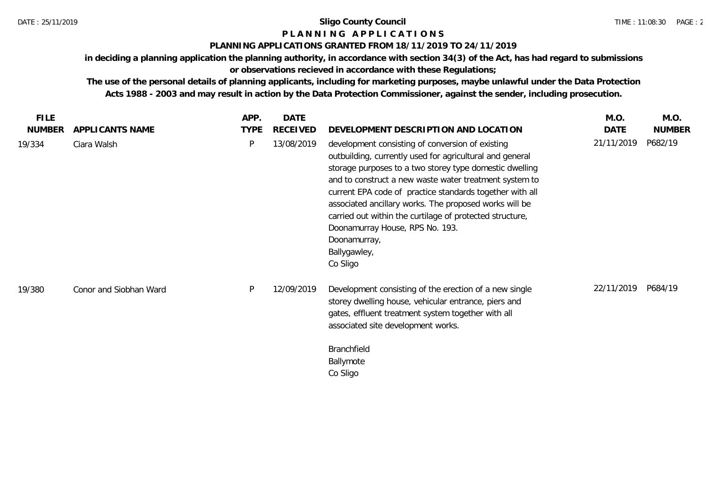# **P L A N N I N G A P P L I C A T I O N S**

#### **PLANNING APPLICATIONS GRANTED FROM 18/11/2019 TO 24/11/2019**

**in deciding a planning application the planning authority, in accordance with section 34(3) of the Act, has had regard to submissions or observations recieved in accordance with these Regulations;**

**The use of the personal details of planning applicants, including for marketing purposes, maybe unlawful under the Data Protection Acts 1988 - 2003 and may result in action by the Data Protection Commissioner, against the sender, including prosecution.**

**FILE NUMBER APPLICANTS NAME APP. DATE TYPE DEVELOPMENT DESCRIPTION AND LOCATION M.O. DATE NUMBER M.O.** Ciara Walsh P 13/08/2019 development consisting of conversion of existing 19/334 21/11/2019 P682/19 outbuilding, currently used for agricultural and general storage purposes to a two storey type domestic dwelling and to construct a new waste water treatment system to current EPA code of practice standards together with all associated ancillary works. The proposed works will be carried out within the curtilage of protected structure, Doonamurray House, RPS No. 193. Doonamurray, Ballygawley, Co Sligo Conor and Siobhan Ward P 12/09/2019 Development consisting of the erection of a new single 19/380 22/11/2019 P684/19storey dwelling house, vehicular entrance, piers and gates, effluent treatment system together with all associated site development works. Branchfield Ballymote Co Sligo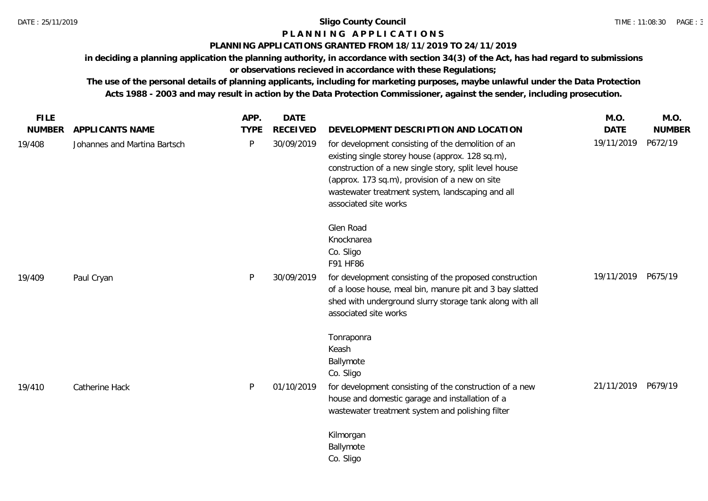# **P L A N N I N G A P P L I C A T I O N S**

# **PLANNING APPLICATIONS GRANTED FROM 18/11/2019 TO 24/11/2019**

**in deciding a planning application the planning authority, in accordance with section 34(3) of the Act, has had regard to submissions or observations recieved in accordance with these Regulations;**

**The use of the personal details of planning applicants, including for marketing purposes, maybe unlawful under the Data Protection** 

**Acts 1988 - 2003 and may result in action by the Data Protection Commissioner, against the sender, including prosecution.**

| <b>FILE</b><br><b>NUMBER</b> | APPLICANTS NAME              | APP.<br><b>TYPE</b> | <b>DATE</b><br><b>RECEIVED</b> | DEVELOPMENT DESCRIPTION AND LOCATION                                                                                                                                                                                                                                                           | M.O.<br><b>DATE</b> | M.O.<br><b>NUMBER</b> |
|------------------------------|------------------------------|---------------------|--------------------------------|------------------------------------------------------------------------------------------------------------------------------------------------------------------------------------------------------------------------------------------------------------------------------------------------|---------------------|-----------------------|
| 19/408                       | Johannes and Martina Bartsch | P                   | 30/09/2019                     | for development consisting of the demolition of an<br>existing single storey house (approx. 128 sq.m),<br>construction of a new single story, split level house<br>(approx. 173 sq.m), provision of a new on site<br>wastewater treatment system, landscaping and all<br>associated site works | 19/11/2019          | P672/19               |
|                              |                              |                     |                                | Glen Road<br>Knocknarea<br>Co. Sligo<br>F91 HF86                                                                                                                                                                                                                                               |                     |                       |
| 19/409                       | Paul Cryan                   | P                   | 30/09/2019                     | for development consisting of the proposed construction<br>of a loose house, meal bin, manure pit and 3 bay slatted<br>shed with underground slurry storage tank along with all<br>associated site works                                                                                       | 19/11/2019          | P675/19               |
| 19/410                       | Catherine Hack               | P                   | 01/10/2019                     | Tonraponra<br>Keash<br>Ballymote<br>Co. Sligo<br>for development consisting of the construction of a new<br>house and domestic garage and installation of a                                                                                                                                    | 21/11/2019 P679/19  |                       |
|                              |                              |                     |                                | wastewater treatment system and polishing filter<br>Kilmorgan<br>Ballymote<br>Co. Sligo                                                                                                                                                                                                        |                     |                       |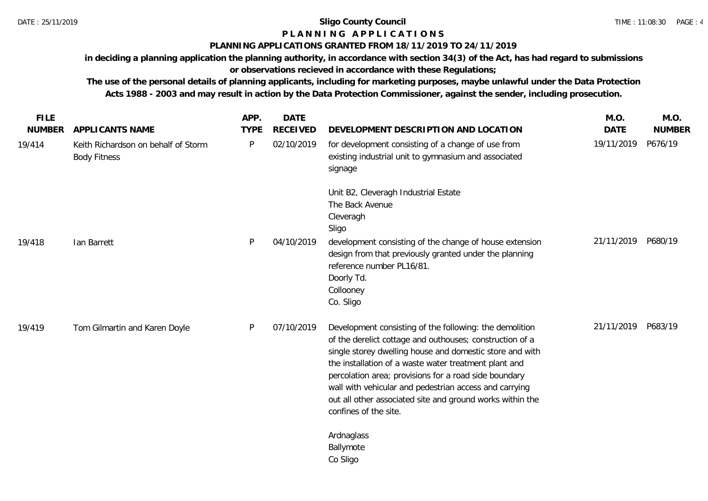# **P L A N N I N G A P P L I C A T I O N S**

# **PLANNING APPLICATIONS GRANTED FROM 18/11/2019 TO 24/11/2019**

**in deciding a planning application the planning authority, in accordance with section 34(3) of the Act, has had regard to submissions or observations recieved in accordance with these Regulations;**

**The use of the personal details of planning applicants, including for marketing purposes, maybe unlawful under the Data Protection Acts 1988 - 2003 and may result in action by the Data Protection Commissioner, against the sender, including prosecution.**

| <b>FILE</b>   |                                                            | APP.        | <b>DATE</b>     |                                                                                                                                                                                                                                                                                                                                                                                                                                                   | M.O.        | M.O.          |
|---------------|------------------------------------------------------------|-------------|-----------------|---------------------------------------------------------------------------------------------------------------------------------------------------------------------------------------------------------------------------------------------------------------------------------------------------------------------------------------------------------------------------------------------------------------------------------------------------|-------------|---------------|
| <b>NUMBER</b> | APPLICANTS NAME                                            | <b>TYPE</b> | <b>RECEIVED</b> | DEVELOPMENT DESCRIPTION AND LOCATION                                                                                                                                                                                                                                                                                                                                                                                                              | <b>DATE</b> | <b>NUMBER</b> |
| 19/414        | Keith Richardson on behalf of Storm<br><b>Body Fitness</b> | P           | 02/10/2019      | for development consisting of a change of use from<br>existing industrial unit to gymnasium and associated<br>signage                                                                                                                                                                                                                                                                                                                             | 19/11/2019  | P676/19       |
|               |                                                            |             |                 | Unit B2, Cleveragh Industrial Estate<br>The Back Avenue<br>Cleveragh<br>Sligo                                                                                                                                                                                                                                                                                                                                                                     |             |               |
| 19/418        | Ian Barrett                                                | P           | 04/10/2019      | development consisting of the change of house extension<br>design from that previously granted under the planning<br>reference number PL16/81.<br>Doorly Td.<br>Collooney<br>Co. Sligo                                                                                                                                                                                                                                                            | 21/11/2019  | P680/19       |
| 19/419        | Tom Gilmartin and Karen Doyle                              | P           | 07/10/2019      | Development consisting of the following: the demolition<br>of the derelict cottage and outhouses; construction of a<br>single storey dwelling house and domestic store and with<br>the installation of a waste water treatment plant and<br>percolation area; provisions for a road side boundary<br>wall with vehicular and pedestrian access and carrying<br>out all other associated site and ground works within the<br>confines of the site. | 21/11/2019  | P683/19       |
|               |                                                            |             |                 | Ardnaglass<br>Ballymote<br>Co Sligo                                                                                                                                                                                                                                                                                                                                                                                                               |             |               |
|               |                                                            |             |                 |                                                                                                                                                                                                                                                                                                                                                                                                                                                   |             |               |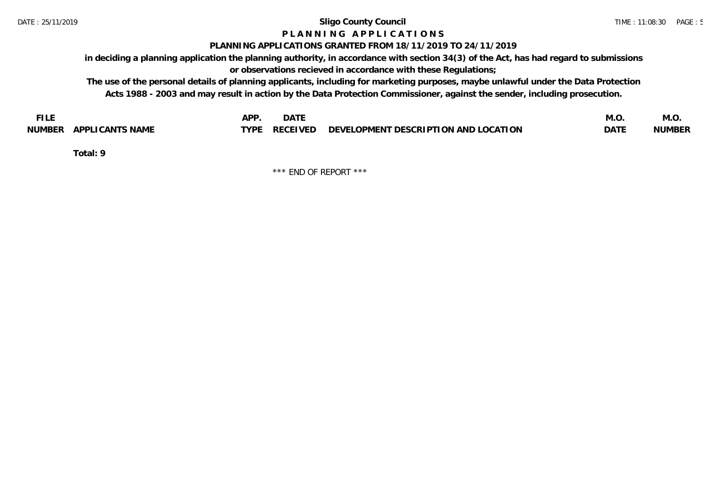# **P L A N N I N G A P P L I C A T I O N S**

# **PLANNING APPLICATIONS GRANTED FROM 18/11/2019 TO 24/11/2019**

**in deciding a planning application the planning authority, in accordance with section 34(3) of the Act, has had regard to submissions or observations recieved in accordance with these Regulations;**

**The use of the personal details of planning applicants, including for marketing purposes, maybe unlawful under the Data Protection Acts 1988 - 2003 and may result in action by the Data Protection Commissioner, against the sender, including prosecution.**

| <b>FILE</b>               | <b>APF</b><br><b>DATE</b>                                             | M.O.        | IVI.U         |
|---------------------------|-----------------------------------------------------------------------|-------------|---------------|
| APPLICANTS NAME<br>NUMBER | $\angle$ RECEIVED DEVELOPMENT DESCRIPTION AND LOCATION<br><b>TYPE</b> | <b>DATE</b> | <b>NUMBER</b> |

**Total: 9**

\*\*\* END OF REPORT \*\*\*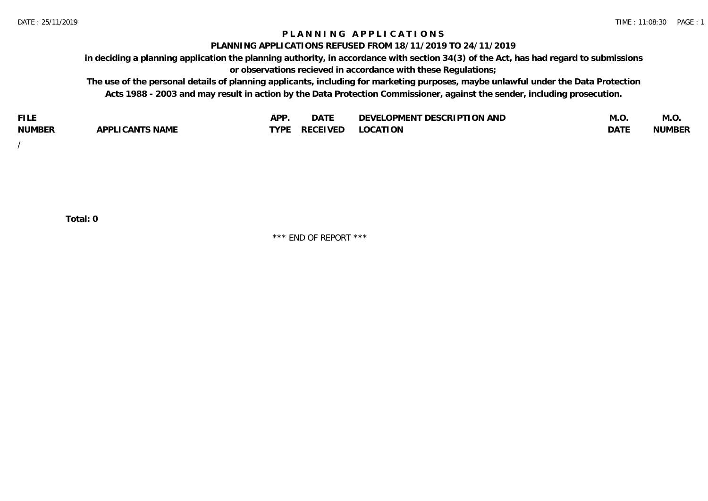# **P L A N N I N G A P P L I C A T I O N S**

### **PLANNING APPLICATIONS REFUSED FROM 18/11/2019 TO 24/11/2019**

**in deciding a planning application the planning authority, in accordance with section 34(3) of the Act, has had regard to submissions or observations recieved in accordance with these Regulations;**

**The use of the personal details of planning applicants, including for marketing purposes, maybe unlawful under the Data Protection Acts 1988 - 2003 and may result in action by the Data Protection Commissioner, against the sender, including prosecution.**

| <b>FILE</b>   |                                                     | A DE | $\sim$ $\sim$ $\sim$<br>DA I | <b>ENT DESCRIPTION AND</b><br>$\cap$ nn.<br>)E\/F<br>. JIEN L<br>பட | IVI.U       | IVI.U         |
|---------------|-----------------------------------------------------|------|------------------------------|---------------------------------------------------------------------|-------------|---------------|
| <b>NUMBER</b> | <b>ANTS NAME</b><br>A DDI<br>$\sqrt{2}$<br>CAN<br>u | TVDL | ◡⊢                           | <b>OCATION</b>                                                      | <b>DATF</b> | <b>NUMBER</b> |

/

**Total: 0**

\*\*\* END OF REPORT \*\*\*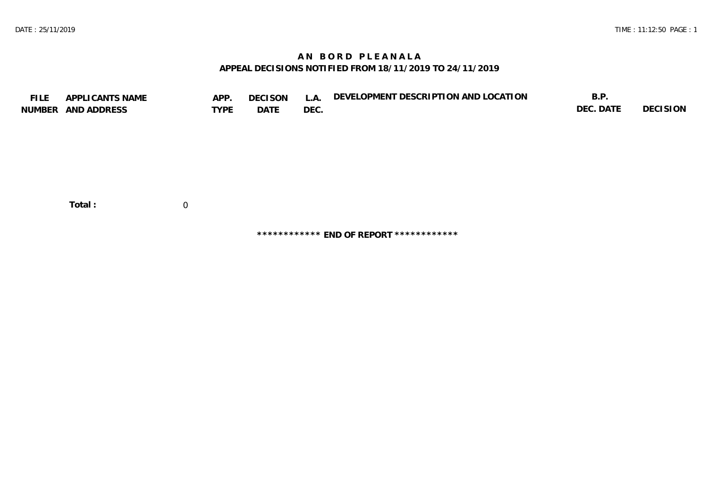# **A N B O R D P L E A N A L A APPEAL DECISIONS NOTIFIED FROM 18/11/2019 TO 24/11/2019**

| <b>FILE</b> | APPLICANTS NAME<br>NUMBER AND ADDRESS | APP.<br><b>TYPE</b> | <b>DECISON</b><br>DATE | L.A.<br>DEC. | DEVELOPMENT DESCRIPTION AND LOCATION | B.P.<br>DEC. DATE | DECISION |
|-------------|---------------------------------------|---------------------|------------------------|--------------|--------------------------------------|-------------------|----------|
|             | Total:                                | $\overline{0}$      |                        |              |                                      |                   |          |

**\*\*\*\*\*\*\*\*\*\*\*\* END OF REPORT \*\*\*\*\*\*\*\*\*\*\*\***